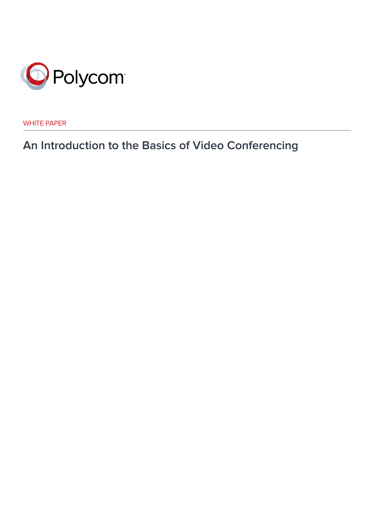

WHITE PAPER

**An Introduction to the Basics of Video Conferencing**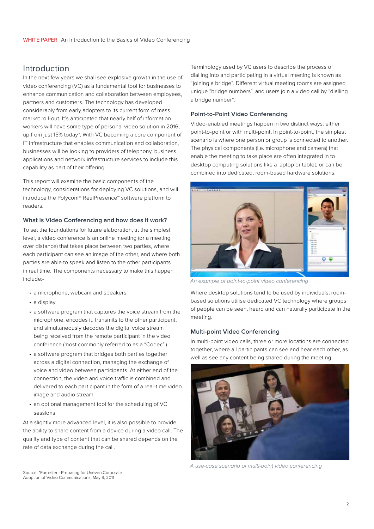# Introduction

In the next few years we shall see explosive growth in the use of video conferencing (VC) as a fundamental tool for businesses to enhance communication and collaboration between employees, partners and customers. The technology has developed considerably from early adopters to its current form of mass market roll-out. It's anticipated that nearly half of information workers will have some type of personal video solution in 2016, up from just 15% today\*. With VC becoming a core component of IT infrastructure that enables communication and collaboration, businesses will be looking to providers of telephony, business applications and network infrastructure services to include this capability as part of their offering.

This report will examine the basic components of the technology, considerations for deploying VC solutions, and will introduce the Polycom® RealPresence™ software platform to readers.

## **What is Video Conferencing and how does it work?**

To set the foundations for future elaboration, at the simplest level, a video conference is an online meeting (or a meeting over distance) that takes place between two parties, where each participant can see an image of the other, and where both parties are able to speak and listen to the other participants in real time. The components necessary to make this happen include:-

- a microphone, webcam and speakers
- a display
- a software program that captures the voice stream from the microphone, encodes it, transmits to the other participant, and simultaneously decodes the digital voice stream being received from the remote participant in the video conference (most commonly referred to as a "Codec".)
- a software program that bridges both parties together across a digital connection, managing the exchange of voice and video between participants. At either end of the connection, the video and voice traffic is combined and delivered to each participant in the form of a real-time video image and audio stream
- an optional management tool for the scheduling of VC sessions

At a slightly more advanced level, it is also possible to provide the ability to share content from a device during a video call. The quality and type of content that can be shared depends on the rate of data exchange during the call.

Terminology used by VC users to describe the process of dialling into and participating in a virtual meeting is known as "joining a bridge". Different virtual meeting rooms are assigned unique "bridge numbers", and users join a video call by "dialling a bridge number".

## **Point-to-Point Video Conferencing**

Video-enabled meetings happen in two distinct ways: either point-to-point or with multi-point. In point-to-point, the simplest scenario is where one person or group is connected to another. The physical components (i.e. microphone and camera) that enable the meeting to take place are often integrated in to desktop computing solutions like a laptop or tablet, or can be combined into dedicated, room-based hardware solutions.



*An example of point-to-point video conferencing*

Where desktop solutions tend to be used by individuals, roombased solutions utilise dedicated VC technology where groups of people can be seen, heard and can naturally participate in the meeting.

## **Multi-point Video Conferencing**

In multi-point video calls, three or more locations are connected together, where all participants can see and hear each other, as well as see any content being shared during the meeting.



*A use-case scenario of multi-point video conferencing*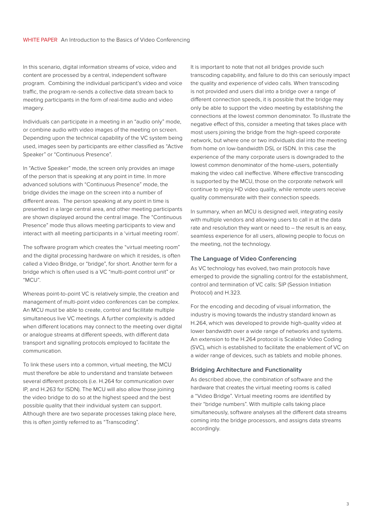In this scenario, digital information streams of voice, video and content are processed by a central, independent software program. Combining the individual participant's video and voice traffic, the program re-sends a collective data stream back to meeting participants in the form of real-time audio and video imagery.

Individuals can participate in a meeting in an "audio only" mode, or combine audio with video images of the meeting on screen. Depending upon the technical capability of the VC system being used, images seen by participants are either classified as "Active Speaker" or "Continuous Presence".

In "Active Speaker" mode, the screen only provides an image of the person that is speaking at any point in time. In more advanced solutions with "Continuous Presence" mode, the bridge divides the image on the screen into a number of different areas. The person speaking at any point in time is presented in a large central area, and other meeting participants are shown displayed around the central image. The "Continuous Presence" mode thus allows meeting participants to view and interact with all meeting participants in a 'virtual meeting room'.

The software program which creates the "virtual meeting room" and the digital processing hardware on which it resides, is often called a Video Bridge, or "bridge", for short. Another term for a bridge which is often used is a VC "multi-point control unit" or "MCU".

Whereas point-to-point VC is relatively simple, the creation and management of multi-point video conferences can be complex. An MCU must be able to create, control and facilitate multiple simultaneous live VC meetings. A further complexity is added when different locations may connect to the meeting over digital or analogue streams at different speeds, with different data transport and signalling protocols employed to facilitate the communication.

To link these users into a common, virtual meeting, the MCU must therefore be able to understand and translate between several different protocols (i.e. H.264 for communication over IP, and H.263 for ISDN). The MCU will also allow those joining the video bridge to do so at the highest speed and the best possible quality that their individual system can support. Although there are two separate processes taking place here, this is often jointly referred to as "Transcoding".

It is important to note that not all bridges provide such transcoding capability, and failure to do this can seriously impact the quality and experience of video calls. When transcoding is not provided and users dial into a bridge over a range of different connection speeds, it is possible that the bridge may only be able to support the video meeting by establishing the connections at the lowest common denominator. To illustrate the negative effect of this, consider a meeting that takes place with most users joining the bridge from the high-speed corporate network, but where one or two individuals dial into the meeting from home on low-bandwidth DSL or ISDN. In this case the experience of the many corporate users is downgraded to the lowest common denominator of the home-users, potentially making the video call ineffective. Where effective transcoding is supported by the MCU, those on the corporate network will continue to enjoy HD video quality, while remote users receive quality commensurate with their connection speeds.

In summary, when an MCU is designed well, integrating easily with multiple vendors and allowing users to call in at the data rate and resolution they want or need to – the result is an easy, seamless experience for all users, allowing people to focus on the meeting, not the technology.

#### **The Language of Video Conferencing**

As VC technology has evolved, two main protocols have emerged to provide the signalling control for the establishment, control and termination of VC calls: SIP (Session Initiation Protocol) and H.323.

For the encoding and decoding of visual information, the industry is moving towards the industry standard known as H.264, which was developed to provide high-quality video at lower bandwidth over a wide range of networks and systems. An extension to the H.264 protocol is Scalable Video Coding (SVC), which is established to facilitate the enablement of VC on a wider range of devices, such as tablets and mobile phones.

#### **Bridging Architecture and Functionality**

As described above, the combination of software and the hardware that creates the virtual meeting rooms is called a "Video Bridge". Virtual meeting rooms are identified by their "bridge numbers". With multiple calls taking place simultaneously, software analyses all the different data streams coming into the bridge processors, and assigns data streams accordingly.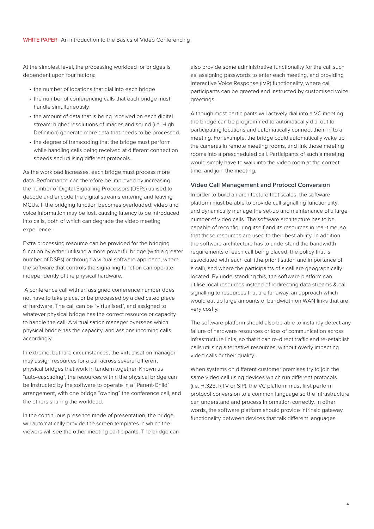At the simplest level, the processing workload for bridges is dependent upon four factors:

- the number of locations that dial into each bridge
- the number of conferencing calls that each bridge must handle simultaneously
- the amount of data that is being received on each digital stream: higher resolutions of images and sound (i.e. High Definition) generate more data that needs to be processed.
- the degree of transcoding that the bridge must perform while handling calls being received at different connection speeds and utilising different protocols.

As the workload increases, each bridge must process more data. Performance can therefore be improved by increasing the number of Digital Signalling Processors (DSPs) utilised to decode and encode the digital streams entering and leaving MCUs. If the bridging function becomes overloaded, video and voice information may be lost, causing latency to be introduced into calls, both of which can degrade the video meeting experience.

Extra processing resource can be provided for the bridging function by either utilising a more powerful bridge (with a greater number of DSPs) or through a virtual software approach, where the software that controls the signalling function can operate independently of the physical hardware.

 A conference call with an assigned conference number does not have to take place, or be processed by a dedicated piece of hardware. The call can be "virtualised", and assigned to whatever physical bridge has the correct resource or capacity to handle the call. A virtualisation manager oversees which physical bridge has the capacity, and assigns incoming calls accordingly.

In extreme, but rare circumstances, the virtualisation manager may assign resources for a call across several different physical bridges that work in tandem together. Known as "auto-cascading", the resources within the physical bridge can be instructed by the software to operate in a "Parent-Child" arrangement, with one bridge "owning" the conference call, and the others sharing the workload.

In the continuous presence mode of presentation, the bridge will automatically provide the screen templates in which the viewers will see the other meeting participants. The bridge can

also provide some administrative functionality for the call such as; assigning passwords to enter each meeting, and providing Interactive Voice Response (IVR) functionality, where call participants can be greeted and instructed by customised voice greetings.

Although most participants will actively dial into a VC meeting, the bridge can be programmed to automatically dial out to participating locations and automatically connect them in to a meeting. For example, the bridge could automatically wake up the cameras in remote meeting rooms, and link those meeting rooms into a prescheduled call. Participants of such a meeting would simply have to walk into the video room at the correct time, and join the meeting.

#### **Video Call Management and Protocol Conversion**

In order to build an architecture that scales, the software platform must be able to provide call signalling functionality, and dynamically manage the set-up and maintenance of a large number of video calls. The software architecture has to be capable of reconfiguring itself and its resources in real-time, so that these resources are used to their best ability. In addition, the software architecture has to understand the bandwidth requirements of each call being placed, the policy that is associated with each call (the prioritisation and importance of a call), and where the participants of a call are geographically located. By understanding this, the software platform can utilise local resources instead of redirecting data streams & call signalling to resources that are far away, an approach which would eat up large amounts of bandwidth on WAN links that are very costly.

The software platform should also be able to instantly detect any failure of hardware resources or loss of communication across infrastructure links, so that it can re-direct traffic and re-establish calls utilising alternative resources, without overly impacting video calls or their quality.

When systems on different customer premises try to join the same video call using devices which run different protocols (i.e. H.323, RTV or SIP), the VC platform must first perform protocol conversion to a common language so the infrastructure can understand and process information correctly. In other words, the software platform should provide intrinsic gateway functionality between devices that talk different languages.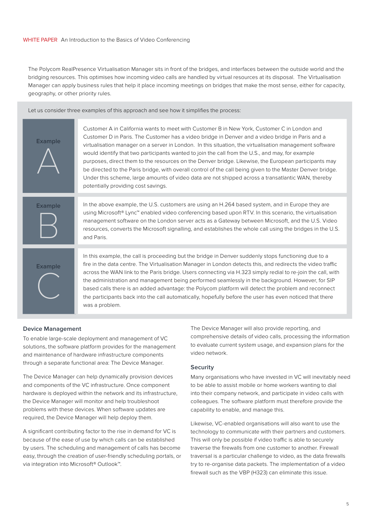### WHITE PAPER An Introduction to the Basics of Video Conferencing

The Polycom RealPresence Virtualisation Manager sits in front of the bridges, and interfaces between the outside world and the bridging resources. This optimises how incoming video calls are handled by virtual resources at its disposal. The Virtualisation Manager can apply business rules that help it place incoming meetings on bridges that make the most sense, either for capacity, geography, or other priority rules.

Let us consider three examples of this approach and see how it simplifies the process:

| <b>Example</b> | Customer A in California wants to meet with Customer B in New York, Customer C in London and<br>Customer D in Paris. The Customer has a video bridge in Denver and a video bridge in Paris and a<br>virtualisation manager on a server in London. In this situation, the virtualisation management software<br>would identify that two participants wanted to join the call from the U.S., and may, for example<br>purposes, direct them to the resources on the Denver bridge. Likewise, the European participants may<br>be directed to the Paris bridge, with overall control of the call being given to the Master Denver bridge.<br>Under this scheme, large amounts of video data are not shipped across a transatlantic WAN, thereby<br>potentially providing cost savings. |
|----------------|------------------------------------------------------------------------------------------------------------------------------------------------------------------------------------------------------------------------------------------------------------------------------------------------------------------------------------------------------------------------------------------------------------------------------------------------------------------------------------------------------------------------------------------------------------------------------------------------------------------------------------------------------------------------------------------------------------------------------------------------------------------------------------|
|                |                                                                                                                                                                                                                                                                                                                                                                                                                                                                                                                                                                                                                                                                                                                                                                                    |
| <b>Example</b> | In the above example, the U.S. customers are using an H.264 based system, and in Europe they are<br>using Microsoft® Lync™ enabled video conferencing based upon RTV. In this scenario, the virtualisation<br>management software on the London server acts as a Gateway between Microsoft, and the U.S. Video<br>resources, converts the Microsoft signalling, and establishes the whole call using the bridges in the U.S.<br>and Paris.                                                                                                                                                                                                                                                                                                                                         |
|                |                                                                                                                                                                                                                                                                                                                                                                                                                                                                                                                                                                                                                                                                                                                                                                                    |
| <b>Example</b> | In this example, the call is proceeding but the bridge in Denver suddenly stops functioning due to a<br>fire in the data centre. The Virtualisation Manager in London detects this, and redirects the video traffic<br>across the WAN link to the Paris bridge. Users connecting via H.323 simply redial to re-join the call, with<br>the administration and management being performed seamlessly in the background. However, for SIP<br>based calls there is an added advantage: the Polycom platform will detect the problem and reconnect<br>the participants back into the call automatically, hopefully before the user has even noticed that there<br>was a problem.                                                                                                        |

#### **Device Management**

To enable large-scale deployment and management of VC solutions, the software platform provides for the management and maintenance of hardware infrastructure components through a separate functional area: The Device Manager.

The Device Manager can help dynamically provision devices and components of the VC infrastructure. Once component hardware is deployed within the network and its infrastructure, the Device Manager will monitor and help troubleshoot problems with these devices. When software updates are required, the Device Manager will help deploy them.

A significant contributing factor to the rise in demand for VC is because of the ease of use by which calls can be established by users. The scheduling and management of calls has become easy, through the creation of user-friendly scheduling portals, or via integration into Microsoft® Outlook™.

The Device Manager will also provide reporting, and comprehensive details of video calls, processing the information to evaluate current system usage, and expansion plans for the video network.

### **Security**

Many organisations who have invested in VC will inevitably need to be able to assist mobile or home workers wanting to dial into their company network, and participate in video calls with colleagues. The software platform must therefore provide the capability to enable, and manage this.

Likewise, VC-enabled organisations will also want to use the technology to communicate with their partners and customers. This will only be possible if video traffic is able to securely traverse the firewalls from one customer to another. Firewall traversal is a particular challenge to video, as the data firewalls try to re-organise data packets. The implementation of a video firewall such as the VBP (H323) can eliminate this issue.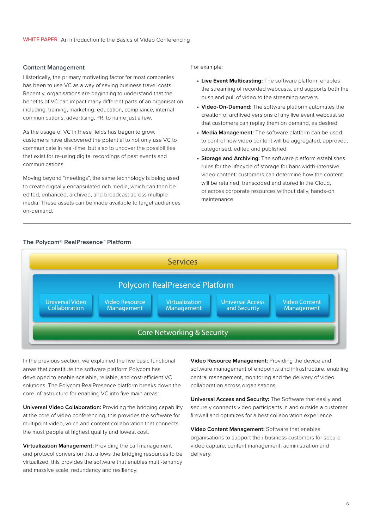#### **Content Management**

Historically, the primary motivating factor for most companies has been to use VC as a way of saving business travel costs. Recently, organisations are beginning to understand that the benefits of VC can impact many different parts of an organisation including; training, marketing, education, compliance, internal communications, advertising, PR, to name just a few.

As the usage of VC in these fields has begun to grow, customers have discovered the potential to not only use VC to communicate in real-time, but also to uncover the possibilities that exist for re-using digital recordings of past events and communications.

Moving beyond "meetings", the same technology is being used to create digitally encapsulated rich media, which can then be edited, enhanced, archived, and broadcast across multiple media. These assets can be made available to target audiences on-demand.

#### For example:

- **• Live Event Multicasting:** The software platform enables the streaming of recorded webcasts, and supports both the push and pull of video to the streaming servers.
- **• Video-On-Demand:** The software platform automates the creation of archived versions of any live event webcast so that customers can replay them on demand, as desired.
- **• Media Management:** The software platform can be used to control how video content will be aggregated, approved, categorised, edited and published.
- **• Storage and Archiving:** The software platform establishes rules for the lifecycle of storage for bandwidth-intensive video content: customers can determine how the content will be retained, transcoded and stored in the Cloud, or across corporate resources without daily, hands-on maintenance.

#### **The Polycom® RealPresence™ Platform**



In the previous section, we explained the five basic functional areas that constitute the software platform Polycom has developed to enable scalable, reliable, and cost-efficient VC solutions. The Polycom RealPresence platform breaks down the core infrastructure for enabling VC into five main areas:

**Universal Video Collaboration:** Providing the bridging capability at the core of video conferencing, this provides the software for multipoint video, voice and content collaboration that connects the most people at highest quality and lowest cost.

**Virtualization Management:** Providing the call management and protocol conversion that allows the bridging resources to be virtualized, this provides the software that enables multi-tenancy and massive scale, redundancy and resiliency.

**Video Resource Management:** Providing the device and software management of endpoints and infrastructure, enabling central management, monitoring and the delivery of video collaboration across organisations.

**Universal Access and Security:** The Software that easily and securely connects video participants in and outside a customer firewall and optimizes for a best collaboration experience.

**Video Content Management:** Software that enables organisations to support their business customers for secure video capture, content management, administration and delivery.